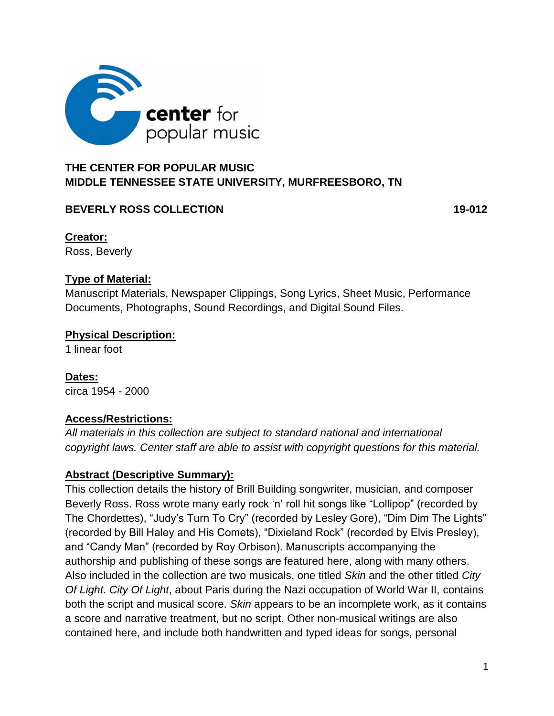

# **THE CENTER FOR POPULAR MUSIC MIDDLE TENNESSEE STATE UNIVERSITY, MURFREESBORO, TN**

### **BEVERLY ROSS COLLECTION** 19-012

**Creator:** Ross, Beverly

### **Type of Material:**

Manuscript Materials, Newspaper Clippings, Song Lyrics, Sheet Music, Performance Documents, Photographs, Sound Recordings, and Digital Sound Files.

#### **Physical Description:**

1 linear foot

**Dates:** circa 1954 - 2000

### **Access/Restrictions:**

*All materials in this collection are subject to standard national and international copyright laws. Center staff are able to assist with copyright questions for this material.*

### **Abstract (Descriptive Summary):**

This collection details the history of Brill Building songwriter, musician, and composer Beverly Ross. Ross wrote many early rock 'n' roll hit songs like "Lollipop" (recorded by The Chordettes), "Judy's Turn To Cry" (recorded by Lesley Gore), "Dim Dim The Lights" (recorded by Bill Haley and His Comets), "Dixieland Rock" (recorded by Elvis Presley), and "Candy Man" (recorded by Roy Orbison). Manuscripts accompanying the authorship and publishing of these songs are featured here, along with many others. Also included in the collection are two musicals, one titled *Skin* and the other titled *City Of Light*. *City Of Light*, about Paris during the Nazi occupation of World War II, contains both the script and musical score. *Skin* appears to be an incomplete work, as it contains a score and narrative treatment, but no script. Other non-musical writings are also contained here, and include both handwritten and typed ideas for songs, personal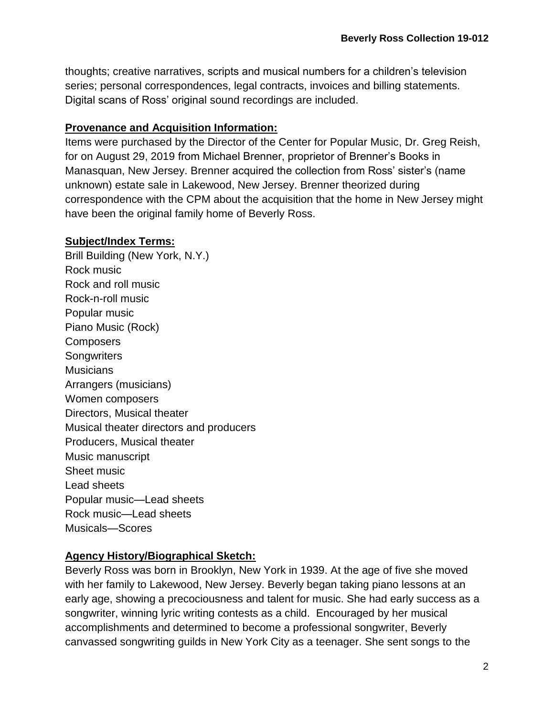thoughts; creative narratives, scripts and musical numbers for a children's television series; personal correspondences, legal contracts, invoices and billing statements. Digital scans of Ross' original sound recordings are included.

### **Provenance and Acquisition Information:**

Items were purchased by the Director of the Center for Popular Music, Dr. Greg Reish, for on August 29, 2019 from Michael Brenner, proprietor of Brenner's Books in Manasquan, New Jersey. Brenner acquired the collection from Ross' sister's (name unknown) estate sale in Lakewood, New Jersey. Brenner theorized during correspondence with the CPM about the acquisition that the home in New Jersey might have been the original family home of Beverly Ross.

### **Subject/Index Terms:**

Brill Building (New York, N.Y.) Rock music Rock and roll music Rock-n-roll music Popular music Piano Music (Rock) **Composers Songwriters Musicians** Arrangers (musicians) Women composers Directors, Musical theater Musical theater directors and producers Producers, Musical theater Music manuscript Sheet music Lead sheets Popular music—Lead sheets Rock music—I ead sheets Musicals—Scores

## **Agency History/Biographical Sketch:**

Beverly Ross was born in Brooklyn, New York in 1939. At the age of five she moved with her family to Lakewood, New Jersey. Beverly began taking piano lessons at an early age, showing a precociousness and talent for music. She had early success as a songwriter, winning lyric writing contests as a child. Encouraged by her musical accomplishments and determined to become a professional songwriter, Beverly canvassed songwriting guilds in New York City as a teenager. She sent songs to the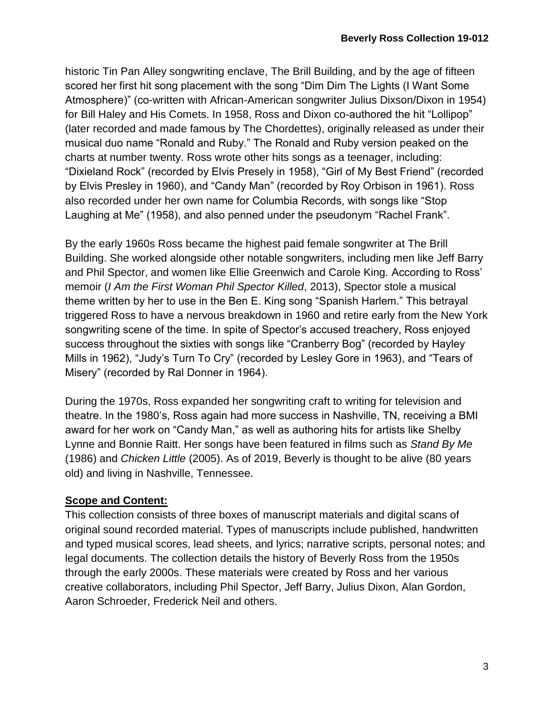historic Tin Pan Alley songwriting enclave, The Brill Building, and by the age of fifteen scored her first hit song placement with the song "Dim Dim The Lights (I Want Some Atmosphere)" (co-written with African-American songwriter Julius Dixson/Dixon in 1954) for Bill Haley and His Comets. In 1958, Ross and Dixon co-authored the hit "Lollipop" (later recorded and made famous by The Chordettes), originally released as under their musical duo name "Ronald and Ruby." The Ronald and Ruby version peaked on the charts at number twenty. Ross wrote other hits songs as a teenager, including: "Dixieland Rock" (recorded by Elvis Presely in 1958), "Girl of My Best Friend" (recorded by Elvis Presley in 1960), and "Candy Man" (recorded by Roy Orbison in 1961). Ross also recorded under her own name for Columbia Records, with songs like "Stop Laughing at Me" (1958), and also penned under the pseudonym "Rachel Frank".

By the early 1960s Ross became the highest paid female songwriter at The Brill Building. She worked alongside other notable songwriters, including men like Jeff Barry and Phil Spector, and women like Ellie Greenwich and Carole King. According to Ross' memoir (*I Am the First Woman Phil Spector Killed*, 2013), Spector stole a musical theme written by her to use in the Ben E. King song "Spanish Harlem." This betrayal triggered Ross to have a nervous breakdown in 1960 and retire early from the New York songwriting scene of the time. In spite of Spector's accused treachery, Ross enjoyed success throughout the sixties with songs like "Cranberry Bog" (recorded by Hayley Mills in 1962), "Judy's Turn To Cry" (recorded by Lesley Gore in 1963), and "Tears of Misery" (recorded by Ral Donner in 1964).

During the 1970s, Ross expanded her songwriting craft to writing for television and theatre. In the 1980's, Ross again had more success in Nashville, TN, receiving a BMI award for her work on "Candy Man," as well as authoring hits for artists like Shelby Lynne and Bonnie Raitt. Her songs have been featured in films such as *Stand By Me* (1986) and *Chicken Little* (2005). As of 2019, Beverly is thought to be alive (80 years old) and living in Nashville, Tennessee.

### **Scope and Content:**

This collection consists of three boxes of manuscript materials and digital scans of original sound recorded material. Types of manuscripts include published, handwritten and typed musical scores, lead sheets, and lyrics; narrative scripts, personal notes; and legal documents. The collection details the history of Beverly Ross from the 1950s through the early 2000s. These materials were created by Ross and her various creative collaborators, including Phil Spector, Jeff Barry, Julius Dixon, Alan Gordon, Aaron Schroeder, Frederick Neil and others.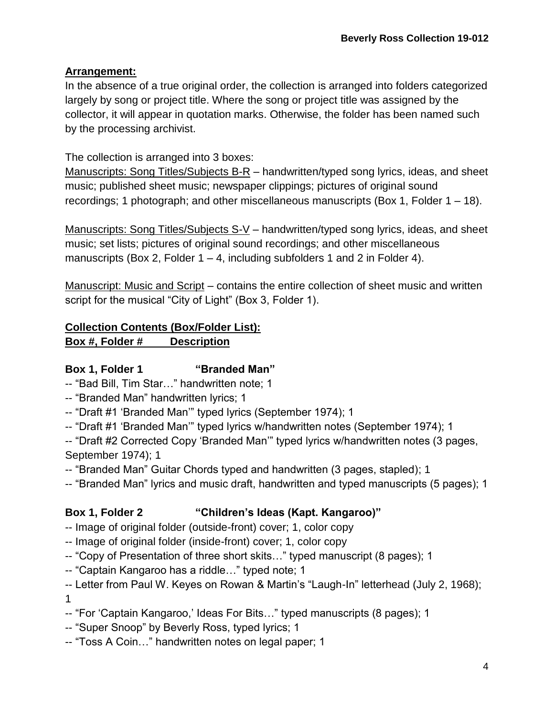# **Arrangement:**

In the absence of a true original order, the collection is arranged into folders categorized largely by song or project title. Where the song or project title was assigned by the collector, it will appear in quotation marks. Otherwise, the folder has been named such by the processing archivist.

The collection is arranged into 3 boxes:

Manuscripts: Song Titles/Subjects B-R – handwritten/typed song lyrics, ideas, and sheet music; published sheet music; newspaper clippings; pictures of original sound recordings; 1 photograph; and other miscellaneous manuscripts (Box 1, Folder 1 – 18).

Manuscripts: Song Titles/Subjects S-V – handwritten/typed song lyrics, ideas, and sheet music; set lists; pictures of original sound recordings; and other miscellaneous manuscripts (Box 2, Folder  $1 - 4$ , including subfolders 1 and 2 in Folder 4).

Manuscript: Music and Script – contains the entire collection of sheet music and written script for the musical "City of Light" (Box 3, Folder 1).

# **Collection Contents (Box/Folder List):**

**Box #, Folder # Description**

# **Box 1, Folder 1 "Branded Man"**

-- "Bad Bill, Tim Star…" handwritten note; 1

- -- "Branded Man" handwritten lyrics; 1
- -- "Draft #1 'Branded Man'" typed lyrics (September 1974); 1
- -- "Draft #1 'Branded Man'" typed lyrics w/handwritten notes (September 1974); 1
- -- "Draft #2 Corrected Copy 'Branded Man'" typed lyrics w/handwritten notes (3 pages, September 1974); 1
- -- "Branded Man" Guitar Chords typed and handwritten (3 pages, stapled); 1
- -- "Branded Man" lyrics and music draft, handwritten and typed manuscripts (5 pages); 1

# **Box 1, Folder 2 "Children's Ideas (Kapt. Kangaroo)"**

- -- Image of original folder (outside-front) cover; 1, color copy
- -- Image of original folder (inside-front) cover; 1, color copy
- -- "Copy of Presentation of three short skits…" typed manuscript (8 pages); 1
- -- "Captain Kangaroo has a riddle…" typed note; 1

-- Letter from Paul W. Keyes on Rowan & Martin's "Laugh-In" letterhead (July 2, 1968); 1

- -- "For 'Captain Kangaroo,' Ideas For Bits…" typed manuscripts (8 pages); 1
- -- "Super Snoop" by Beverly Ross, typed lyrics; 1
- -- "Toss A Coin…" handwritten notes on legal paper; 1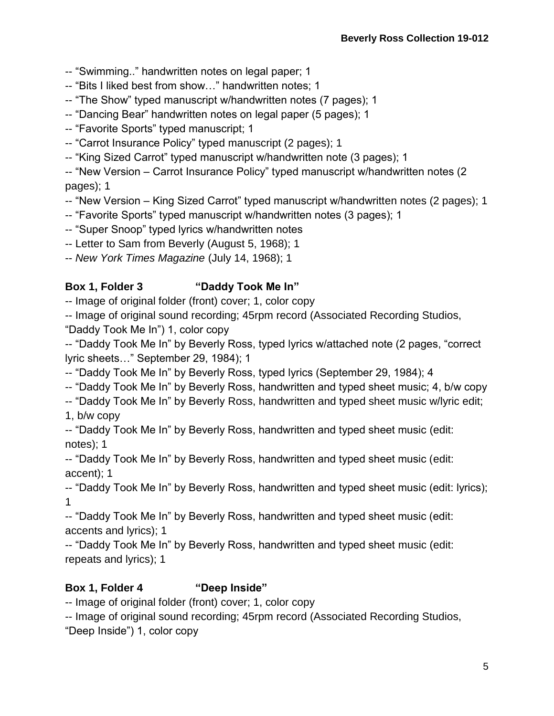- -- "Swimming.." handwritten notes on legal paper; 1
- -- "Bits I liked best from show…" handwritten notes; 1
- -- "The Show" typed manuscript w/handwritten notes (7 pages); 1
- -- "Dancing Bear" handwritten notes on legal paper (5 pages); 1
- -- "Favorite Sports" typed manuscript; 1
- -- "Carrot Insurance Policy" typed manuscript (2 pages); 1
- -- "King Sized Carrot" typed manuscript w/handwritten note (3 pages); 1

-- "New Version – Carrot Insurance Policy" typed manuscript w/handwritten notes (2 pages); 1

- -- "New Version King Sized Carrot" typed manuscript w/handwritten notes (2 pages); 1
- -- "Favorite Sports" typed manuscript w/handwritten notes (3 pages); 1
- -- "Super Snoop" typed lyrics w/handwritten notes
- -- Letter to Sam from Beverly (August 5, 1968); 1

-- *New York Times Magazine* (July 14, 1968); 1

## **Box 1, Folder 3 "Daddy Took Me In"**

-- Image of original folder (front) cover; 1, color copy

-- Image of original sound recording; 45rpm record (Associated Recording Studios,

"Daddy Took Me In") 1, color copy

-- "Daddy Took Me In" by Beverly Ross, typed lyrics w/attached note (2 pages, "correct lyric sheets…" September 29, 1984); 1

- -- "Daddy Took Me In" by Beverly Ross, typed lyrics (September 29, 1984); 4
- -- "Daddy Took Me In" by Beverly Ross, handwritten and typed sheet music; 4, b/w copy

-- "Daddy Took Me In" by Beverly Ross, handwritten and typed sheet music w/lyric edit; 1, b/w copy

-- "Daddy Took Me In" by Beverly Ross, handwritten and typed sheet music (edit: notes); 1

-- "Daddy Took Me In" by Beverly Ross, handwritten and typed sheet music (edit: accent); 1

-- "Daddy Took Me In" by Beverly Ross, handwritten and typed sheet music (edit: lyrics); 1

-- "Daddy Took Me In" by Beverly Ross, handwritten and typed sheet music (edit: accents and lyrics); 1

-- "Daddy Took Me In" by Beverly Ross, handwritten and typed sheet music (edit: repeats and lyrics); 1

## **Box 1, Folder 4 "Deep Inside"**

-- Image of original folder (front) cover; 1, color copy

-- Image of original sound recording; 45rpm record (Associated Recording Studios,

"Deep Inside") 1, color copy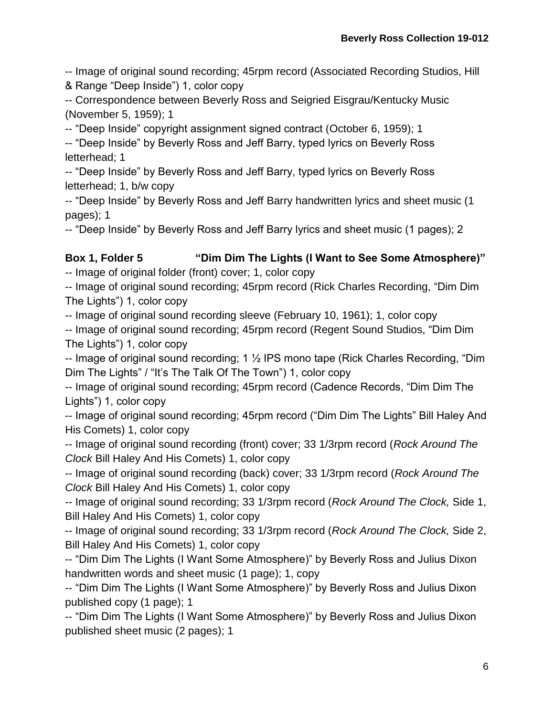-- Image of original sound recording; 45rpm record (Associated Recording Studios, Hill

& Range "Deep Inside") 1, color copy

-- Correspondence between Beverly Ross and Seigried Eisgrau/Kentucky Music (November 5, 1959); 1

-- "Deep Inside" copyright assignment signed contract (October 6, 1959); 1

-- "Deep Inside" by Beverly Ross and Jeff Barry, typed lyrics on Beverly Ross letterhead; 1

-- "Deep Inside" by Beverly Ross and Jeff Barry, typed lyrics on Beverly Ross letterhead; 1, b/w copy

-- "Deep Inside" by Beverly Ross and Jeff Barry handwritten lyrics and sheet music (1 pages); 1

-- "Deep Inside" by Beverly Ross and Jeff Barry lyrics and sheet music (1 pages); 2

# **Box 1, Folder 5 "Dim Dim The Lights (I Want to See Some Atmosphere)"**

-- Image of original folder (front) cover; 1, color copy

-- Image of original sound recording; 45rpm record (Rick Charles Recording, "Dim Dim The Lights") 1, color copy

-- Image of original sound recording sleeve (February 10, 1961); 1, color copy

-- Image of original sound recording; 45rpm record (Regent Sound Studios, "Dim Dim The Lights") 1, color copy

-- Image of original sound recording; 1 ½ IPS mono tape (Rick Charles Recording, "Dim Dim The Lights" / "It's The Talk Of The Town") 1, color copy

-- Image of original sound recording; 45rpm record (Cadence Records, "Dim Dim The Lights") 1, color copy

-- Image of original sound recording; 45rpm record ("Dim Dim The Lights" Bill Haley And His Comets) 1, color copy

-- Image of original sound recording (front) cover; 33 1/3rpm record (*Rock Around The Clock* Bill Haley And His Comets) 1, color copy

-- Image of original sound recording (back) cover; 33 1/3rpm record (*Rock Around The Clock* Bill Haley And His Comets) 1, color copy

-- Image of original sound recording; 33 1/3rpm record (*Rock Around The Clock,* Side 1, Bill Haley And His Comets) 1, color copy

-- Image of original sound recording; 33 1/3rpm record (*Rock Around The Clock,* Side 2, Bill Haley And His Comets) 1, color copy

-- "Dim Dim The Lights (I Want Some Atmosphere)" by Beverly Ross and Julius Dixon handwritten words and sheet music (1 page); 1, copy

-- "Dim Dim The Lights (I Want Some Atmosphere)" by Beverly Ross and Julius Dixon published copy (1 page); 1

-- "Dim Dim The Lights (I Want Some Atmosphere)" by Beverly Ross and Julius Dixon published sheet music (2 pages); 1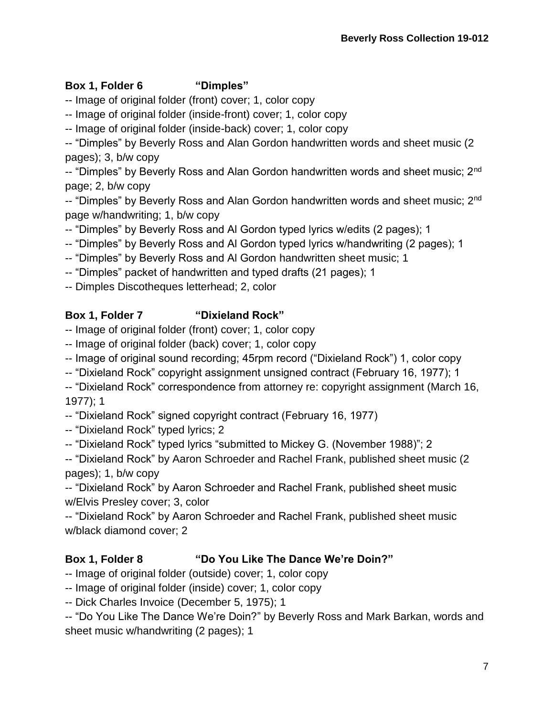# **Box 1, Folder 6 "Dimples"**

-- Image of original folder (front) cover; 1, color copy

-- Image of original folder (inside-front) cover; 1, color copy

-- Image of original folder (inside-back) cover; 1, color copy

-- "Dimples" by Beverly Ross and Alan Gordon handwritten words and sheet music (2 pages); 3, b/w copy

-- "Dimples" by Beverly Ross and Alan Gordon handwritten words and sheet music; 2nd page; 2, b/w copy

-- "Dimples" by Beverly Ross and Alan Gordon handwritten words and sheet music; 2<sup>nd</sup> page w/handwriting; 1, b/w copy

-- "Dimples" by Beverly Ross and Al Gordon typed lyrics w/edits (2 pages); 1

- -- "Dimples" by Beverly Ross and Al Gordon typed lyrics w/handwriting (2 pages); 1
- -- "Dimples" by Beverly Ross and Al Gordon handwritten sheet music; 1
- -- "Dimples" packet of handwritten and typed drafts (21 pages); 1

-- Dimples Discotheques letterhead; 2, color

# **Box 1, Folder 7 "Dixieland Rock"**

-- Image of original folder (front) cover; 1, color copy

- -- Image of original folder (back) cover; 1, color copy
- -- Image of original sound recording; 45rpm record ("Dixieland Rock") 1, color copy
- -- "Dixieland Rock" copyright assignment unsigned contract (February 16, 1977); 1

-- "Dixieland Rock" correspondence from attorney re: copyright assignment (March 16, 1977); 1

-- "Dixieland Rock" signed copyright contract (February 16, 1977)

-- "Dixieland Rock" typed lyrics; 2

-- "Dixieland Rock" typed lyrics "submitted to Mickey G. (November 1988)"; 2

-- "Dixieland Rock" by Aaron Schroeder and Rachel Frank, published sheet music (2 pages); 1, b/w copy

-- "Dixieland Rock" by Aaron Schroeder and Rachel Frank, published sheet music w/Elvis Presley cover; 3, color

-- "Dixieland Rock" by Aaron Schroeder and Rachel Frank, published sheet music w/black diamond cover; 2

# **Box 1, Folder 8 "Do You Like The Dance We're Doin?"**

- -- Image of original folder (outside) cover; 1, color copy
- -- Image of original folder (inside) cover; 1, color copy
- -- Dick Charles Invoice (December 5, 1975); 1

-- "Do You Like The Dance We're Doin?" by Beverly Ross and Mark Barkan, words and sheet music w/handwriting (2 pages); 1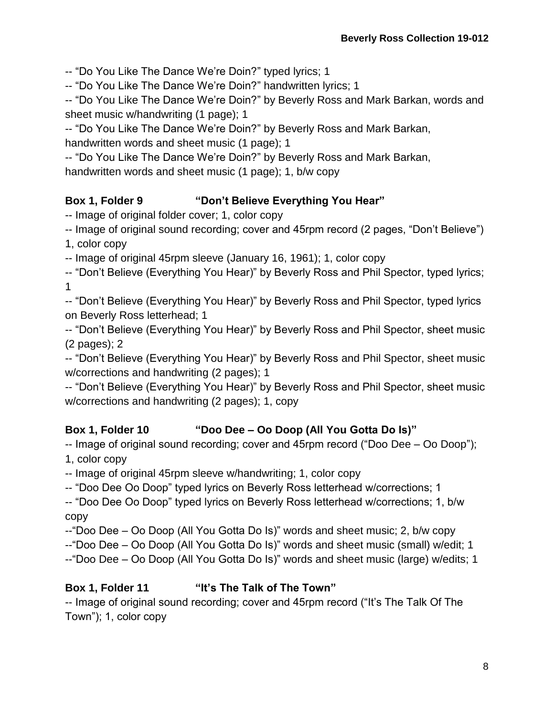-- "Do You Like The Dance We're Doin?" typed lyrics; 1

-- "Do You Like The Dance We're Doin?" handwritten lyrics; 1

-- "Do You Like The Dance We're Doin?" by Beverly Ross and Mark Barkan, words and sheet music w/handwriting (1 page); 1

-- "Do You Like The Dance We're Doin?" by Beverly Ross and Mark Barkan, handwritten words and sheet music (1 page); 1

-- "Do You Like The Dance We're Doin?" by Beverly Ross and Mark Barkan, handwritten words and sheet music (1 page); 1, b/w copy

# **Box 1, Folder 9 "Don't Believe Everything You Hear"**

-- Image of original folder cover; 1, color copy

-- Image of original sound recording; cover and 45rpm record (2 pages, "Don't Believe")

1, color copy

-- Image of original 45rpm sleeve (January 16, 1961); 1, color copy

-- "Don't Believe (Everything You Hear)" by Beverly Ross and Phil Spector, typed lyrics; 1

-- "Don't Believe (Everything You Hear)" by Beverly Ross and Phil Spector, typed lyrics on Beverly Ross letterhead; 1

-- "Don't Believe (Everything You Hear)" by Beverly Ross and Phil Spector, sheet music (2 pages); 2

-- "Don't Believe (Everything You Hear)" by Beverly Ross and Phil Spector, sheet music w/corrections and handwriting (2 pages); 1

-- "Don't Believe (Everything You Hear)" by Beverly Ross and Phil Spector, sheet music w/corrections and handwriting (2 pages); 1, copy

# **Box 1, Folder 10 "Doo Dee – Oo Doop (All You Gotta Do Is)"**

-- Image of original sound recording; cover and 45rpm record ("Doo Dee – Oo Doop");

1, color copy

-- Image of original 45rpm sleeve w/handwriting; 1, color copy

-- "Doo Dee Oo Doop" typed lyrics on Beverly Ross letterhead w/corrections; 1

-- "Doo Dee Oo Doop" typed lyrics on Beverly Ross letterhead w/corrections; 1, b/w copy

--"Doo Dee – Oo Doop (All You Gotta Do Is)" words and sheet music; 2, b/w copy

--"Doo Dee – Oo Doop (All You Gotta Do Is)" words and sheet music (small) w/edit; 1

--"Doo Dee – Oo Doop (All You Gotta Do Is)" words and sheet music (large) w/edits; 1

# **Box 1, Folder 11 "It's The Talk of The Town"**

-- Image of original sound recording; cover and 45rpm record ("It's The Talk Of The Town"); 1, color copy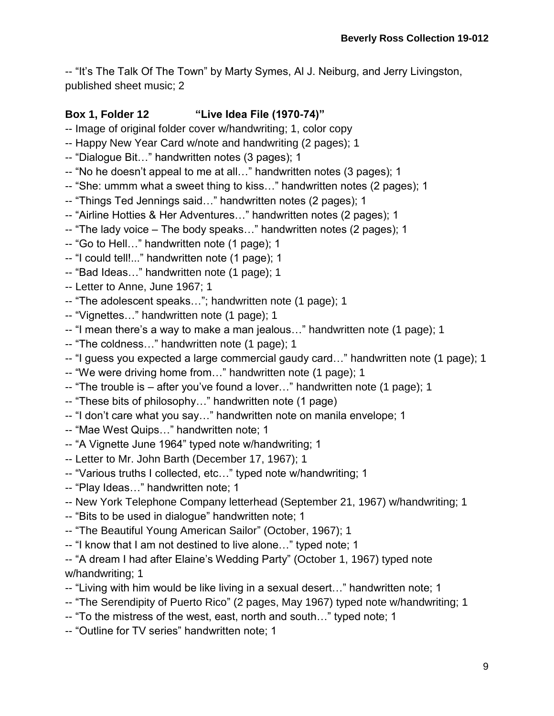-- "It's The Talk Of The Town" by Marty Symes, Al J. Neiburg, and Jerry Livingston, published sheet music; 2

### **Box 1, Folder 12 "Live Idea File (1970-74)"**

- -- Image of original folder cover w/handwriting; 1, color copy
- -- Happy New Year Card w/note and handwriting (2 pages); 1
- -- "Dialogue Bit…" handwritten notes (3 pages); 1
- -- "No he doesn't appeal to me at all…" handwritten notes (3 pages); 1
- -- "She: ummm what a sweet thing to kiss…" handwritten notes (2 pages); 1
- -- "Things Ted Jennings said…" handwritten notes (2 pages); 1
- -- "Airline Hotties & Her Adventures…" handwritten notes (2 pages); 1
- -- "The lady voice The body speaks…" handwritten notes (2 pages); 1
- -- "Go to Hell…" handwritten note (1 page); 1
- -- "I could tell!..." handwritten note (1 page); 1
- -- "Bad Ideas…" handwritten note (1 page); 1
- -- Letter to Anne, June 1967; 1
- -- "The adolescent speaks…"; handwritten note (1 page); 1
- -- "Vignettes…" handwritten note (1 page); 1
- -- "I mean there's a way to make a man jealous…" handwritten note (1 page); 1
- -- "The coldness…" handwritten note (1 page); 1
- -- "I guess you expected a large commercial gaudy card…" handwritten note (1 page); 1
- -- "We were driving home from…" handwritten note (1 page); 1
- -- "The trouble is after you've found a lover…" handwritten note (1 page); 1
- -- "These bits of philosophy…" handwritten note (1 page)
- -- "I don't care what you say…" handwritten note on manila envelope; 1
- -- "Mae West Quips…" handwritten note; 1
- -- "A Vignette June 1964" typed note w/handwriting; 1
- -- Letter to Mr. John Barth (December 17, 1967); 1
- -- "Various truths I collected, etc…" typed note w/handwriting; 1
- -- "Play Ideas…" handwritten note; 1
- -- New York Telephone Company letterhead (September 21, 1967) w/handwriting; 1
- -- "Bits to be used in dialogue" handwritten note; 1
- -- "The Beautiful Young American Sailor" (October, 1967); 1
- -- "I know that I am not destined to live alone…" typed note; 1
- -- "A dream I had after Elaine's Wedding Party" (October 1, 1967) typed note w/handwriting; 1
- -- "Living with him would be like living in a sexual desert…" handwritten note; 1
- -- "The Serendipity of Puerto Rico" (2 pages, May 1967) typed note w/handwriting; 1
- -- "To the mistress of the west, east, north and south…" typed note; 1
- -- "Outline for TV series" handwritten note; 1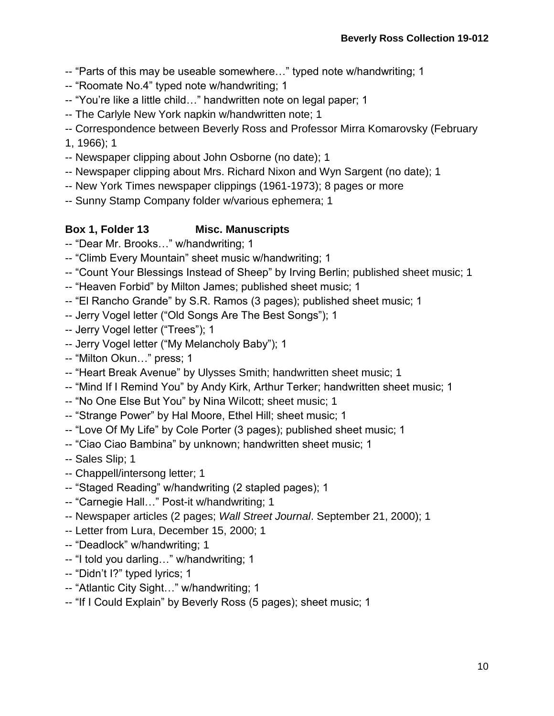- -- "Parts of this may be useable somewhere…" typed note w/handwriting; 1
- -- "Roomate No.4" typed note w/handwriting; 1
- -- "You're like a little child…" handwritten note on legal paper; 1
- -- The Carlyle New York napkin w/handwritten note; 1
- -- Correspondence between Beverly Ross and Professor Mirra Komarovsky (February
- 1, 1966); 1
- -- Newspaper clipping about John Osborne (no date); 1
- -- Newspaper clipping about Mrs. Richard Nixon and Wyn Sargent (no date); 1
- -- New York Times newspaper clippings (1961-1973); 8 pages or more
- -- Sunny Stamp Company folder w/various ephemera; 1

## **Box 1, Folder 13 Misc. Manuscripts**

- -- "Dear Mr. Brooks…" w/handwriting; 1
- -- "Climb Every Mountain" sheet music w/handwriting; 1
- -- "Count Your Blessings Instead of Sheep" by Irving Berlin; published sheet music; 1
- -- "Heaven Forbid" by Milton James; published sheet music; 1
- -- "El Rancho Grande" by S.R. Ramos (3 pages); published sheet music; 1
- -- Jerry Vogel letter ("Old Songs Are The Best Songs"); 1
- -- Jerry Vogel letter ("Trees"); 1
- -- Jerry Vogel letter ("My Melancholy Baby"); 1
- -- "Milton Okun…" press; 1
- -- "Heart Break Avenue" by Ulysses Smith; handwritten sheet music; 1
- -- "Mind If I Remind You" by Andy Kirk, Arthur Terker; handwritten sheet music; 1
- -- "No One Else But You" by Nina Wilcott; sheet music; 1
- -- "Strange Power" by Hal Moore, Ethel Hill; sheet music; 1
- -- "Love Of My Life" by Cole Porter (3 pages); published sheet music; 1
- -- "Ciao Ciao Bambina" by unknown; handwritten sheet music; 1
- -- Sales Slip; 1
- -- Chappell/intersong letter; 1
- -- "Staged Reading" w/handwriting (2 stapled pages); 1
- -- "Carnegie Hall…" Post-it w/handwriting; 1
- -- Newspaper articles (2 pages; *Wall Street Journal*. September 21, 2000); 1
- -- Letter from Lura, December 15, 2000; 1
- -- "Deadlock" w/handwriting; 1
- -- "I told you darling…" w/handwriting; 1
- -- "Didn't I?" typed lyrics; 1
- -- "Atlantic City Sight…" w/handwriting; 1
- -- "If I Could Explain" by Beverly Ross (5 pages); sheet music; 1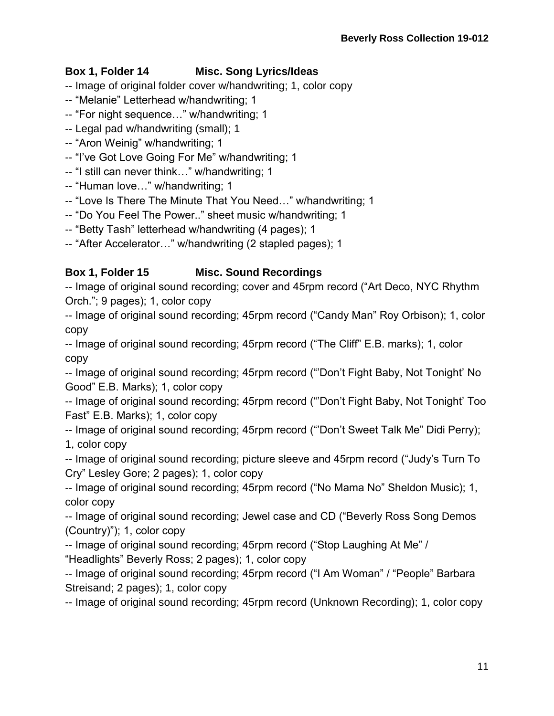# **Box 1, Folder 14 Misc. Song Lyrics/Ideas**

- -- Image of original folder cover w/handwriting; 1, color copy
- -- "Melanie" Letterhead w/handwriting; 1
- -- "For night sequence…" w/handwriting; 1
- -- Legal pad w/handwriting (small); 1
- -- "Aron Weinig" w/handwriting; 1
- -- "I've Got Love Going For Me" w/handwriting; 1
- -- "I still can never think…" w/handwriting; 1
- -- "Human love…" w/handwriting; 1
- -- "Love Is There The Minute That You Need…" w/handwriting; 1
- -- "Do You Feel The Power.." sheet music w/handwriting; 1
- -- "Betty Tash" letterhead w/handwriting (4 pages); 1
- -- "After Accelerator…" w/handwriting (2 stapled pages); 1

# **Box 1, Folder 15 Misc. Sound Recordings**

-- Image of original sound recording; cover and 45rpm record ("Art Deco, NYC Rhythm Orch."; 9 pages); 1, color copy

-- Image of original sound recording; 45rpm record ("Candy Man" Roy Orbison); 1, color copy

-- Image of original sound recording; 45rpm record ("The Cliff" E.B. marks); 1, color copy

-- Image of original sound recording; 45rpm record ("'Don't Fight Baby, Not Tonight' No Good" E.B. Marks); 1, color copy

-- Image of original sound recording; 45rpm record ("'Don't Fight Baby, Not Tonight' Too Fast" E.B. Marks); 1, color copy

-- Image of original sound recording; 45rpm record ("'Don't Sweet Talk Me" Didi Perry); 1, color copy

-- Image of original sound recording; picture sleeve and 45rpm record ("Judy's Turn To Cry" Lesley Gore; 2 pages); 1, color copy

-- Image of original sound recording; 45rpm record ("No Mama No" Sheldon Music); 1, color copy

-- Image of original sound recording; Jewel case and CD ("Beverly Ross Song Demos (Country)"); 1, color copy

-- Image of original sound recording; 45rpm record ("Stop Laughing At Me" / "Headlights" Beverly Ross; 2 pages); 1, color copy

-- Image of original sound recording; 45rpm record ("I Am Woman" / "People" Barbara Streisand; 2 pages); 1, color copy

-- Image of original sound recording; 45rpm record (Unknown Recording); 1, color copy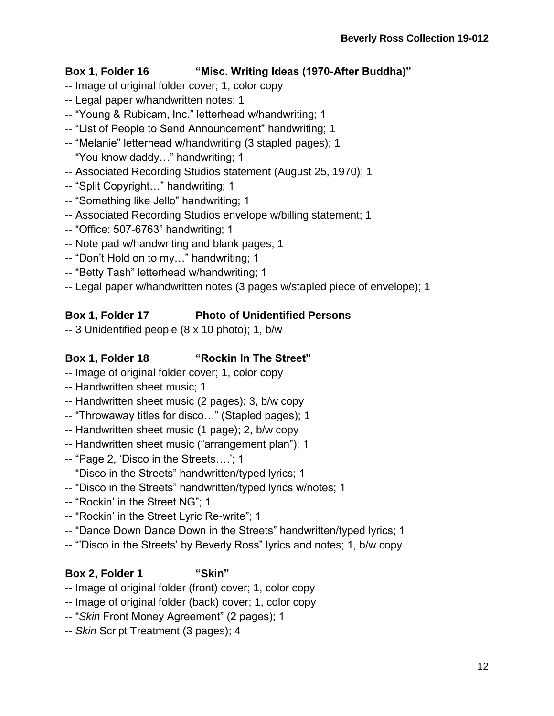### **Box 1, Folder 16 "Misc. Writing Ideas (1970-After Buddha)"**

- -- Image of original folder cover; 1, color copy
- -- Legal paper w/handwritten notes; 1
- -- "Young & Rubicam, Inc." letterhead w/handwriting; 1
- -- "List of People to Send Announcement" handwriting; 1
- -- "Melanie" letterhead w/handwriting (3 stapled pages); 1
- -- "You know daddy…" handwriting; 1
- -- Associated Recording Studios statement (August 25, 1970); 1
- -- "Split Copyright…" handwriting; 1
- -- "Something like Jello" handwriting; 1
- -- Associated Recording Studios envelope w/billing statement; 1
- -- "Office: 507-6763" handwriting; 1
- -- Note pad w/handwriting and blank pages; 1
- -- "Don't Hold on to my…" handwriting; 1
- -- "Betty Tash" letterhead w/handwriting; 1
- -- Legal paper w/handwritten notes (3 pages w/stapled piece of envelope); 1

## **Box 1, Folder 17 Photo of Unidentified Persons**

-- 3 Unidentified people (8 x 10 photo); 1, b/w

# **Box 1, Folder 18 "Rockin In The Street"**

- -- Image of original folder cover; 1, color copy
- -- Handwritten sheet music; 1
- -- Handwritten sheet music (2 pages); 3, b/w copy
- -- "Throwaway titles for disco…" (Stapled pages); 1
- -- Handwritten sheet music (1 page); 2, b/w copy
- -- Handwritten sheet music ("arrangement plan"); 1
- -- "Page 2, 'Disco in the Streets….'; 1
- -- "Disco in the Streets" handwritten/typed lyrics; 1
- -- "Disco in the Streets" handwritten/typed lyrics w/notes; 1
- -- "Rockin' in the Street NG"; 1
- -- "Rockin' in the Street Lyric Re-write"; 1
- -- "Dance Down Dance Down in the Streets" handwritten/typed lyrics; 1
- -- "'Disco in the Streets' by Beverly Ross" lyrics and notes; 1, b/w copy

## **Box 2, Folder 1 "Skin"**

- -- Image of original folder (front) cover; 1, color copy
- -- Image of original folder (back) cover; 1, color copy
- -- "*Skin* Front Money Agreement" (2 pages); 1
- -- *Skin* Script Treatment (3 pages); 4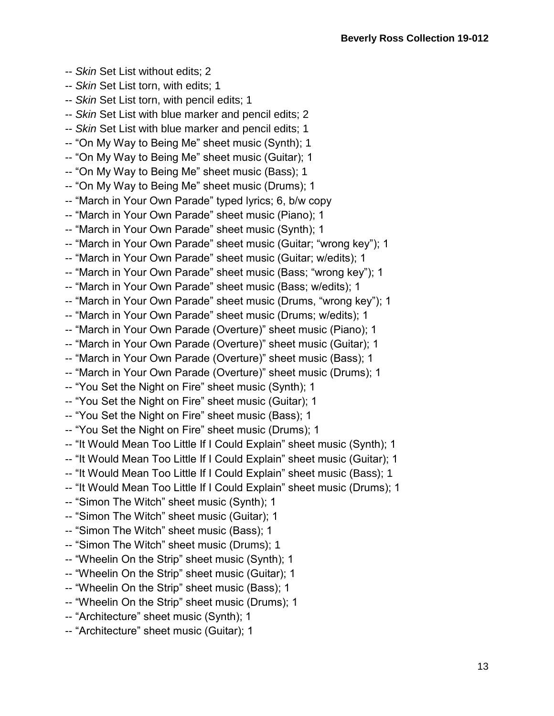- -- *Skin* Set List without edits; 2 -- *Skin* Set List torn, with edits; 1
- -- *Skin* Set List torn, with pencil edits; 1
- -- *Skin* Set List with blue marker and pencil edits; 2
- -- *Skin* Set List with blue marker and pencil edits; 1
- -- "On My Way to Being Me" sheet music (Synth); 1
- -- "On My Way to Being Me" sheet music (Guitar); 1
- -- "On My Way to Being Me" sheet music (Bass); 1
- -- "On My Way to Being Me" sheet music (Drums); 1
- -- "March in Your Own Parade" typed lyrics; 6, b/w copy
- -- "March in Your Own Parade" sheet music (Piano); 1
- -- "March in Your Own Parade" sheet music (Synth); 1
- -- "March in Your Own Parade" sheet music (Guitar; "wrong key"); 1
- -- "March in Your Own Parade" sheet music (Guitar; w/edits); 1
- -- "March in Your Own Parade" sheet music (Bass; "wrong key"); 1
- -- "March in Your Own Parade" sheet music (Bass; w/edits); 1
- -- "March in Your Own Parade" sheet music (Drums, "wrong key"); 1
- -- "March in Your Own Parade" sheet music (Drums; w/edits); 1
- -- "March in Your Own Parade (Overture)" sheet music (Piano); 1
- -- "March in Your Own Parade (Overture)" sheet music (Guitar); 1
- -- "March in Your Own Parade (Overture)" sheet music (Bass); 1
- -- "March in Your Own Parade (Overture)" sheet music (Drums); 1
- -- "You Set the Night on Fire" sheet music (Synth); 1
- -- "You Set the Night on Fire" sheet music (Guitar); 1
- -- "You Set the Night on Fire" sheet music (Bass); 1
- -- "You Set the Night on Fire" sheet music (Drums); 1
- -- "It Would Mean Too Little If I Could Explain" sheet music (Synth); 1
- -- "It Would Mean Too Little If I Could Explain" sheet music (Guitar); 1
- -- "It Would Mean Too Little If I Could Explain" sheet music (Bass); 1
- -- "It Would Mean Too Little If I Could Explain" sheet music (Drums); 1
- -- "Simon The Witch" sheet music (Synth); 1
- -- "Simon The Witch" sheet music (Guitar); 1
- -- "Simon The Witch" sheet music (Bass); 1
- -- "Simon The Witch" sheet music (Drums); 1
- -- "Wheelin On the Strip" sheet music (Synth); 1
- -- "Wheelin On the Strip" sheet music (Guitar); 1
- -- "Wheelin On the Strip" sheet music (Bass); 1
- -- "Wheelin On the Strip" sheet music (Drums); 1
- -- "Architecture" sheet music (Synth); 1
- -- "Architecture" sheet music (Guitar); 1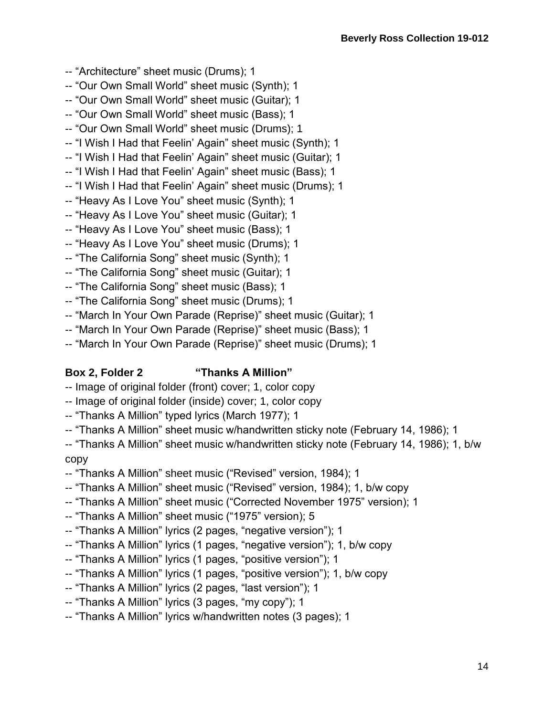- -- "Architecture" sheet music (Drums); 1
- -- "Our Own Small World" sheet music (Synth); 1
- -- "Our Own Small World" sheet music (Guitar); 1
- -- "Our Own Small World" sheet music (Bass); 1
- -- "Our Own Small World" sheet music (Drums); 1
- -- "I Wish I Had that Feelin' Again" sheet music (Synth); 1
- -- "I Wish I Had that Feelin' Again" sheet music (Guitar); 1
- -- "I Wish I Had that Feelin' Again" sheet music (Bass); 1
- -- "I Wish I Had that Feelin' Again" sheet music (Drums); 1
- -- "Heavy As I Love You" sheet music (Synth); 1
- -- "Heavy As I Love You" sheet music (Guitar); 1
- -- "Heavy As I Love You" sheet music (Bass); 1
- -- "Heavy As I Love You" sheet music (Drums); 1
- -- "The California Song" sheet music (Synth); 1
- -- "The California Song" sheet music (Guitar); 1
- -- "The California Song" sheet music (Bass); 1
- -- "The California Song" sheet music (Drums); 1
- -- "March In Your Own Parade (Reprise)" sheet music (Guitar); 1
- -- "March In Your Own Parade (Reprise)" sheet music (Bass); 1
- -- "March In Your Own Parade (Reprise)" sheet music (Drums); 1

### **Box 2, Folder 2 "Thanks A Million"**

- -- Image of original folder (front) cover; 1, color copy
- -- Image of original folder (inside) cover; 1, color copy
- -- "Thanks A Million" typed lyrics (March 1977); 1
- -- "Thanks A Million" sheet music w/handwritten sticky note (February 14, 1986); 1

-- "Thanks A Million" sheet music w/handwritten sticky note (February 14, 1986); 1, b/w copy

- -- "Thanks A Million" sheet music ("Revised" version, 1984); 1
- -- "Thanks A Million" sheet music ("Revised" version, 1984); 1, b/w copy
- -- "Thanks A Million" sheet music ("Corrected November 1975" version); 1
- -- "Thanks A Million" sheet music ("1975" version); 5
- -- "Thanks A Million" lyrics (2 pages, "negative version"); 1
- -- "Thanks A Million" lyrics (1 pages, "negative version"); 1, b/w copy
- -- "Thanks A Million" lyrics (1 pages, "positive version"); 1
- -- "Thanks A Million" lyrics (1 pages, "positive version"); 1, b/w copy
- -- "Thanks A Million" lyrics (2 pages, "last version"); 1
- -- "Thanks A Million" lyrics (3 pages, "my copy"); 1
- -- "Thanks A Million" lyrics w/handwritten notes (3 pages); 1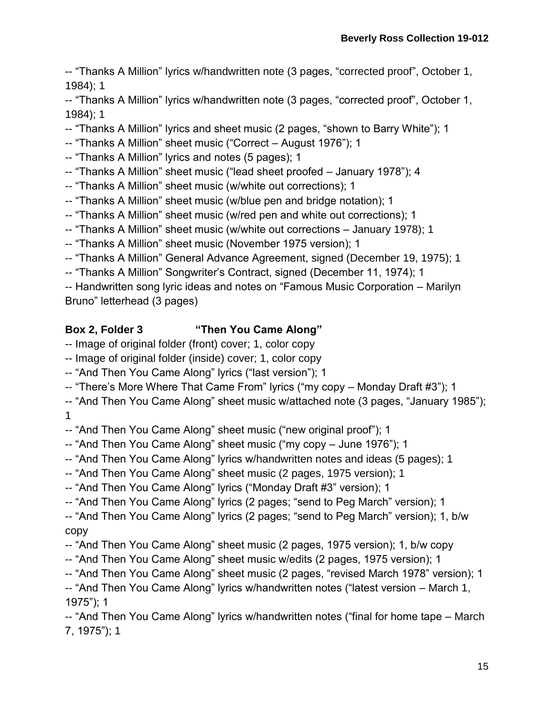-- "Thanks A Million" lyrics w/handwritten note (3 pages, "corrected proof", October 1, 1984); 1

-- "Thanks A Million" lyrics w/handwritten note (3 pages, "corrected proof", October 1, 1984); 1

-- "Thanks A Million" lyrics and sheet music (2 pages, "shown to Barry White"); 1

- -- "Thanks A Million" sheet music ("Correct August 1976"); 1
- -- "Thanks A Million" lyrics and notes (5 pages); 1
- -- "Thanks A Million" sheet music ("lead sheet proofed January 1978"); 4
- -- "Thanks A Million" sheet music (w/white out corrections); 1
- -- "Thanks A Million" sheet music (w/blue pen and bridge notation); 1
- -- "Thanks A Million" sheet music (w/red pen and white out corrections); 1
- -- "Thanks A Million" sheet music (w/white out corrections January 1978); 1
- -- "Thanks A Million" sheet music (November 1975 version); 1
- -- "Thanks A Million" General Advance Agreement, signed (December 19, 1975); 1
- -- "Thanks A Million" Songwriter's Contract, signed (December 11, 1974); 1

-- Handwritten song lyric ideas and notes on "Famous Music Corporation – Marilyn Bruno" letterhead (3 pages)

# **Box 2, Folder 3 "Then You Came Along"**

- -- Image of original folder (front) cover; 1, color copy
- -- Image of original folder (inside) cover; 1, color copy
- -- "And Then You Came Along" lyrics ("last version"); 1
- -- "There's More Where That Came From" lyrics ("my copy Monday Draft #3"); 1

-- "And Then You Came Along" sheet music w/attached note (3 pages, "January 1985"); 1

-- "And Then You Came Along" sheet music ("new original proof"); 1

- -- "And Then You Came Along" sheet music ("my copy June 1976"); 1
- -- "And Then You Came Along" lyrics w/handwritten notes and ideas (5 pages); 1
- -- "And Then You Came Along" sheet music (2 pages, 1975 version); 1
- -- "And Then You Came Along" lyrics ("Monday Draft #3" version); 1
- -- "And Then You Came Along" lyrics (2 pages; "send to Peg March" version); 1
- -- "And Then You Came Along" lyrics (2 pages; "send to Peg March" version); 1, b/w copy
- -- "And Then You Came Along" sheet music (2 pages, 1975 version); 1, b/w copy
- -- "And Then You Came Along" sheet music w/edits (2 pages, 1975 version); 1
- -- "And Then You Came Along" sheet music (2 pages, "revised March 1978" version); 1
- -- "And Then You Came Along" lyrics w/handwritten notes ("latest version March 1, 1975"); 1

-- "And Then You Came Along" lyrics w/handwritten notes ("final for home tape – March 7, 1975"); 1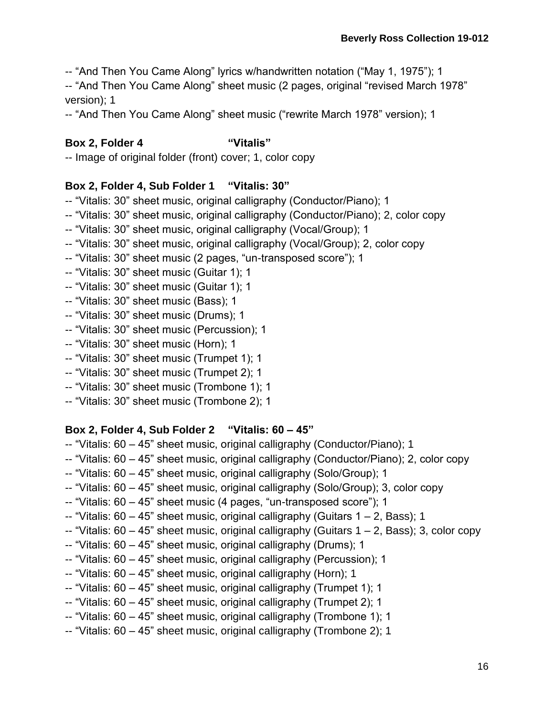-- "And Then You Came Along" lyrics w/handwritten notation ("May 1, 1975"); 1

-- "And Then You Came Along" sheet music (2 pages, original "revised March 1978" version); 1

-- "And Then You Came Along" sheet music ("rewrite March 1978" version); 1

### **Box 2, Folder 4 "Vitalis"**

-- Image of original folder (front) cover; 1, color copy

### **Box 2, Folder 4, Sub Folder 1 "Vitalis: 30"**

- -- "Vitalis: 30" sheet music, original calligraphy (Conductor/Piano); 1
- -- "Vitalis: 30" sheet music, original calligraphy (Conductor/Piano); 2, color copy
- -- "Vitalis: 30" sheet music, original calligraphy (Vocal/Group); 1
- -- "Vitalis: 30" sheet music, original calligraphy (Vocal/Group); 2, color copy
- -- "Vitalis: 30" sheet music (2 pages, "un-transposed score"); 1
- -- "Vitalis: 30" sheet music (Guitar 1); 1
- -- "Vitalis: 30" sheet music (Guitar 1); 1
- -- "Vitalis: 30" sheet music (Bass); 1
- -- "Vitalis: 30" sheet music (Drums); 1
- -- "Vitalis: 30" sheet music (Percussion); 1
- -- "Vitalis: 30" sheet music (Horn); 1
- -- "Vitalis: 30" sheet music (Trumpet 1); 1
- -- "Vitalis: 30" sheet music (Trumpet 2); 1
- -- "Vitalis: 30" sheet music (Trombone 1); 1
- -- "Vitalis: 30" sheet music (Trombone 2); 1

### **Box 2, Folder 4, Sub Folder 2 "Vitalis: 60 – 45"**

- -- "Vitalis: 60 45" sheet music, original calligraphy (Conductor/Piano); 1
- -- "Vitalis: 60 45" sheet music, original calligraphy (Conductor/Piano); 2, color copy
- -- "Vitalis: 60 45" sheet music, original calligraphy (Solo/Group); 1
- -- "Vitalis: 60 45" sheet music, original calligraphy (Solo/Group); 3, color copy
- -- "Vitalis: 60 45" sheet music (4 pages, "un-transposed score"); 1
- $-$  "Vitalis: 60 45" sheet music, original calligraphy (Guitars 1 2, Bass); 1
- $-$  "Vitalis: 60 45" sheet music, original calligraphy (Guitars  $1 2$ , Bass); 3, color copy
- -- "Vitalis: 60 45" sheet music, original calligraphy (Drums); 1
- -- "Vitalis: 60 45" sheet music, original calligraphy (Percussion); 1
- -- "Vitalis: 60 45" sheet music, original calligraphy (Horn); 1
- -- "Vitalis: 60 45" sheet music, original calligraphy (Trumpet 1); 1
- -- "Vitalis: 60 45" sheet music, original calligraphy (Trumpet 2); 1
- -- "Vitalis: 60 45" sheet music, original calligraphy (Trombone 1); 1
- -- "Vitalis: 60 45" sheet music, original calligraphy (Trombone 2); 1